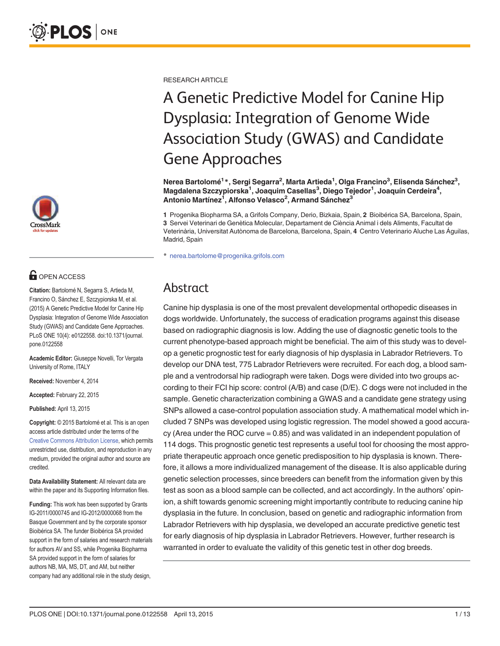

## **O** OPEN ACCESS

Citation: Bartolomé N, Segarra S, Artieda M, Francino O, Sánchez E, Szczypiorska M, et al. (2015) A Genetic Predictive Model for Canine Hip Dysplasia: Integration of Genome Wide Association Study (GWAS) and Candidate Gene Approaches. PLoS ONE 10(4): e0122558. doi:10.1371/journal. pone.0122558

Academic Editor: Giuseppe Novelli, Tor Vergata University of Rome, ITALY

Received: November 4, 2014

Accepted: February 22, 2015

Published: April 13, 2015

Copyright: © 2015 Bartolomé et al. This is an open access article distributed under the terms of the [Creative Commons Attribution License,](http://creativecommons.org/licenses/by/4.0/) which permits unrestricted use, distribution, and reproduction in any medium, provided the original author and source are credited.

Data Availability Statement: All relevant data are within the paper and its Supporting Information files.

Funding: This work has been supported by Grants IG-2011/0000745 and IG-2012/0000068 from the Basque Government and by the corporate sponsor Bioibérica SA. The funder Bioibérica SA provided support in the form of salaries and research materials for authors AV and SS, while Progenika Biopharma SA provided support in the form of salaries for authors NB, MA, MS, DT, and AM, but neither company had any additional role in the study design,

RESEARCH ARTICLE

# A Genetic Predictive Model for Canine Hip Dysplasia: Integration of Genome Wide Association Study (GWAS) and Candidate Gene Approaches

Nerea Bartolomé<sup>1</sup>\*, Sergi Segarra<sup>2</sup>, Marta Artieda<sup>1</sup>, Olga Francino<sup>3</sup>, Elisenda Sánchez<sup>3</sup>, Magdalena Szczypiorska<sup>1</sup>, Joaquim Casellas<sup>3</sup>, Diego Tejedor<sup>1</sup>, Joaquín Cerdeira<sup>4</sup>, Antonio Martínez<sup>1</sup>, Alfonso Velasco<sup>2</sup>, Armand Sánchez<sup>3</sup>

1 Progenika Biopharma SA, a Grifols Company, Derio, Bizkaia, Spain, 2 Bioibérica SA, Barcelona, Spain, 3 Servei Veterinari de Genètica Molecular, Departament de Ciència Animal i dels Aliments, Facultat de Veterinària, Universitat Autònoma de Barcelona, Barcelona, Spain, 4 Centro Veterinario Aluche Las Águilas, Madrid, Spain

\* nerea.bartolome@progenika.grifols.com

## Abstract

Canine hip dysplasia is one of the most prevalent developmental orthopedic diseases in dogs worldwide. Unfortunately, the success of eradication programs against this disease based on radiographic diagnosis is low. Adding the use of diagnostic genetic tools to the current phenotype-based approach might be beneficial. The aim of this study was to develop a genetic prognostic test for early diagnosis of hip dysplasia in Labrador Retrievers. To develop our DNA test, 775 Labrador Retrievers were recruited. For each dog, a blood sample and a ventrodorsal hip radiograph were taken. Dogs were divided into two groups according to their FCI hip score: control (A/B) and case (D/E). C dogs were not included in the sample. Genetic characterization combining a GWAS and a candidate gene strategy using SNPs allowed a case-control population association study. A mathematical model which included 7 SNPs was developed using logistic regression. The model showed a good accuracy (Area under the ROC curve = 0.85) and was validated in an independent population of 114 dogs. This prognostic genetic test represents a useful tool for choosing the most appropriate therapeutic approach once genetic predisposition to hip dysplasia is known. Therefore, it allows a more individualized management of the disease. It is also applicable during genetic selection processes, since breeders can benefit from the information given by this test as soon as a blood sample can be collected, and act accordingly. In the authors' opinion, a shift towards genomic screening might importantly contribute to reducing canine hip dysplasia in the future. In conclusion, based on genetic and radiographic information from Labrador Retrievers with hip dysplasia, we developed an accurate predictive genetic test for early diagnosis of hip dysplasia in Labrador Retrievers. However, further research is warranted in order to evaluate the validity of this genetic test in other dog breeds.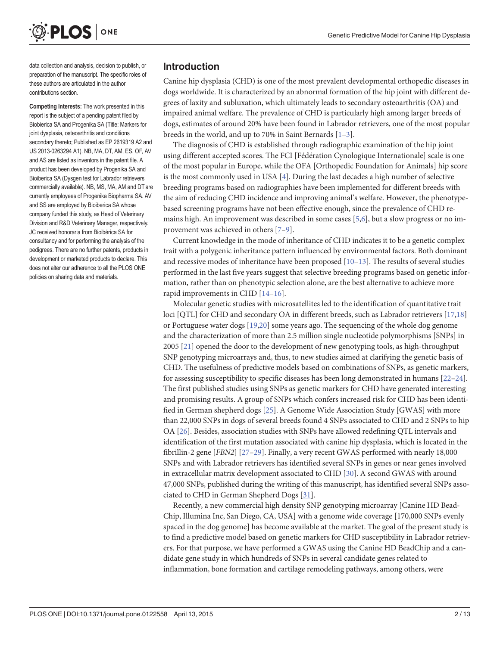<span id="page-1-0"></span>**PLOS** ONE

data collection and analysis, decision to publish, or preparation of the manuscript. The specific roles of these authors are articulated in the author contributions section.

Competing Interests: The work presented in this report is the subject of a pending patent filed by Biobierica SA and Progenika SA (Title: Markers for joint dysplasia, osteoarthritis and conditions secondary thereto; Published as EP 2619319 A2 and US 2013-0263294 A1). NB, MA, DT, AM, ES, OF, AV and AS are listed as inventors in the patent file. A product has been developed by Progenika SA and Bioiberica SA (Dysgen test for Labrador retrievers commercially available). NB, MS, MA, AM and DT are currently employees of Progenika Biopharma SA. AV and SS are employed by Bioiberica SA whose company funded this study, as Head of Veterinary Division and R&D Veterinary Manager, respectively. JC received honoraria from Bioibérica SA for consultancy and for performing the analysis of the pedigrees. There are no further patents, products in development or marketed products to declare. This does not alter our adherence to all the PLOS ONE policies on sharing data and materials.

### Introduction

Canine hip dysplasia (CHD) is one of the most prevalent developmental orthopedic diseases in dogs worldwide. It is characterized by an abnormal formation of the hip joint with different degrees of laxity and subluxation, which ultimately leads to secondary osteoarthritis (OA) and impaired animal welfare. The prevalence of CHD is particularly high among larger breeds of dogs, estimates of around 20% have been found in Labrador retrievers, one of the most popular breeds in the world, and up to 70% in Saint Bernards  $[1-3]$  $[1-3]$  $[1-3]$ .

The diagnosis of CHD is established through radiographic examination of the hip joint using different accepted scores. The FCI [Fédération Cynologique Internationale] scale is one of the most popular in Europe, while the OFA [Orthopedic Foundation for Animals] hip score is the most commonly used in USA [[4](#page-10-0)]. During the last decades a high number of selective breeding programs based on radiographies have been implemented for different breeds with the aim of reducing CHD incidence and improving animal's welfare. However, the phenotypebased screening programs have not been effective enough, since the prevalence of CHD remains high. An improvement was described in some cases [[5,6](#page-10-0)], but a slow progress or no improvement was achieved in others [\[7](#page-10-0)–[9\]](#page-10-0).

Current knowledge in the mode of inheritance of CHD indicates it to be a genetic complex trait with a polygenic inheritance pattern influenced by environmental factors. Both dominant and recessive modes of inheritance have been proposed [\[10](#page-10-0)–[13\]](#page-10-0). The results of several studies performed in the last five years suggest that selective breeding programs based on genetic information, rather than on phenotypic selection alone, are the best alternative to achieve more rapid improvements in CHD  $[14-16]$  $[14-16]$  $[14-16]$  $[14-16]$ .

Molecular genetic studies with microsatellites led to the identification of quantitative trait loci [QTL] for CHD and secondary OA in different breeds, such as Labrador retrievers [\[17,18\]](#page-10-0) or Portuguese water dogs [[19,20](#page-10-0)] some years ago. The sequencing of the whole dog genome and the characterization of more than 2.5 million single nucleotide polymorphisms [SNPs] in 2005 [[21](#page-10-0)] opened the door to the development of new genotyping tools, as high-throughput SNP genotyping microarrays and, thus, to new studies aimed at clarifying the genetic basis of CHD. The usefulness of predictive models based on combinations of SNPs, as genetic markers, for assessing susceptibility to specific diseases has been long demonstrated in humans  $[22-24]$  $[22-24]$  $[22-24]$  $[22-24]$ . The first published studies using SNPs as genetic markers for CHD have generated interesting and promising results. A group of SNPs which confers increased risk for CHD has been identified in German shepherd dogs [\[25\]](#page-11-0). A Genome Wide Association Study [GWAS] with more than 22,000 SNPs in dogs of several breeds found 4 SNPs associated to CHD and 2 SNPs to hip OA [[26](#page-11-0)]. Besides, association studies with SNPs have allowed redefining QTL intervals and identification of the first mutation associated with canine hip dysplasia, which is located in the fibrillin-2 gene [FBN2] [\[27](#page-11-0)–[29](#page-11-0)]. Finally, a very recent GWAS performed with nearly 18,000 SNPs and with Labrador retrievers has identified several SNPs in genes or near genes involved in extracellular matrix development associated to CHD [[30](#page-11-0)]. A second GWAS with around 47,000 SNPs, published during the writing of this manuscript, has identified several SNPs associated to CHD in German Shepherd Dogs [\[31\]](#page-11-0).

Recently, a new commercial high density SNP genotyping microarray [Canine HD Bead-Chip, Illumina Inc, San Diego, CA, USA] with a genome wide coverage [170,000 SNPs evenly spaced in the dog genome] has become available at the market. The goal of the present study is to find a predictive model based on genetic markers for CHD susceptibility in Labrador retrievers. For that purpose, we have performed a GWAS using the Canine HD BeadChip and a candidate gene study in which hundreds of SNPs in several candidate genes related to inflammation, bone formation and cartilage remodeling pathways, among others, were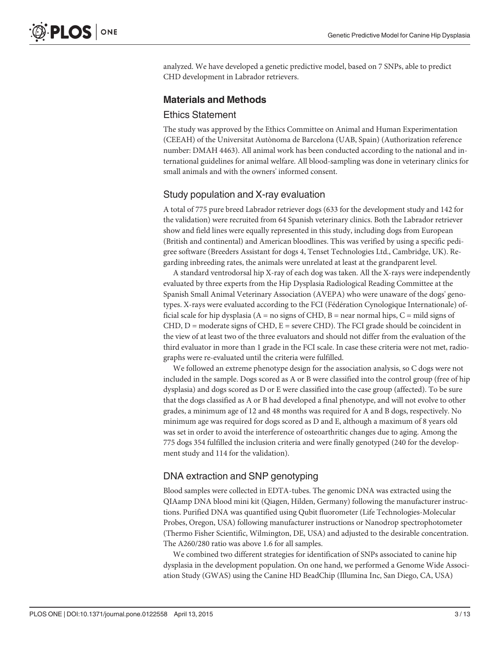analyzed. We have developed a genetic predictive model, based on 7 SNPs, able to predict CHD development in Labrador retrievers.

#### Materials and Methods

#### Ethics Statement

The study was approved by the Ethics Committee on Animal and Human Experimentation (CEEAH) of the Universitat Autònoma de Barcelona (UAB, Spain) (Authorization reference number: DMAH 4463). All animal work has been conducted according to the national and international guidelines for animal welfare. All blood-sampling was done in veterinary clinics for small animals and with the owners' informed consent.

#### Study population and X-ray evaluation

A total of 775 pure breed Labrador retriever dogs (633 for the development study and 142 for the validation) were recruited from 64 Spanish veterinary clinics. Both the Labrador retriever show and field lines were equally represented in this study, including dogs from European (British and continental) and American bloodlines. This was verified by using a specific pedigree software (Breeders Assistant for dogs 4, Tenset Technologies Ltd., Cambridge, UK). Regarding inbreeding rates, the animals were unrelated at least at the grandparent level.

A standard ventrodorsal hip X-ray of each dog was taken. All the X-rays were independently evaluated by three experts from the Hip Dysplasia Radiological Reading Committee at the Spanish Small Animal Veterinary Association (AVEPA) who were unaware of the dogs' genotypes. X-rays were evaluated according to the FCI (Fédération Cynologique Internationale) official scale for hip dysplasia ( $A = no$  signs of CHD,  $B = near normal$  hips,  $C = mild$  signs of  $CHD$ ,  $D$  = moderate signs of CHD,  $E$  = severe CHD). The FCI grade should be coincident in the view of at least two of the three evaluators and should not differ from the evaluation of the third evaluator in more than 1 grade in the FCI scale. In case these criteria were not met, radiographs were re-evaluated until the criteria were fulfilled.

We followed an extreme phenotype design for the association analysis, so C dogs were not included in the sample. Dogs scored as A or B were classified into the control group (free of hip dysplasia) and dogs scored as D or E were classified into the case group (affected). To be sure that the dogs classified as A or B had developed a final phenotype, and will not evolve to other grades, a minimum age of 12 and 48 months was required for A and B dogs, respectively. No minimum age was required for dogs scored as D and E, although a maximum of 8 years old was set in order to avoid the interference of osteoarthritic changes due to aging. Among the 775 dogs 354 fulfilled the inclusion criteria and were finally genotyped (240 for the development study and 114 for the validation).

#### DNA extraction and SNP genotyping

Blood samples were collected in EDTA-tubes. The genomic DNA was extracted using the QIAamp DNA blood mini kit (Qiagen, Hilden, Germany) following the manufacturer instructions. Purified DNA was quantified using Qubit fluorometer (Life Technologies-Molecular Probes, Oregon, USA) following manufacturer instructions or Nanodrop spectrophotometer (Thermo Fisher Scientific, Wilmington, DE, USA) and adjusted to the desirable concentration. The A260/280 ratio was above 1.6 for all samples.

We combined two different strategies for identification of SNPs associated to canine hip dysplasia in the development population. On one hand, we performed a Genome Wide Association Study (GWAS) using the Canine HD BeadChip (Illumina Inc, San Diego, CA, USA)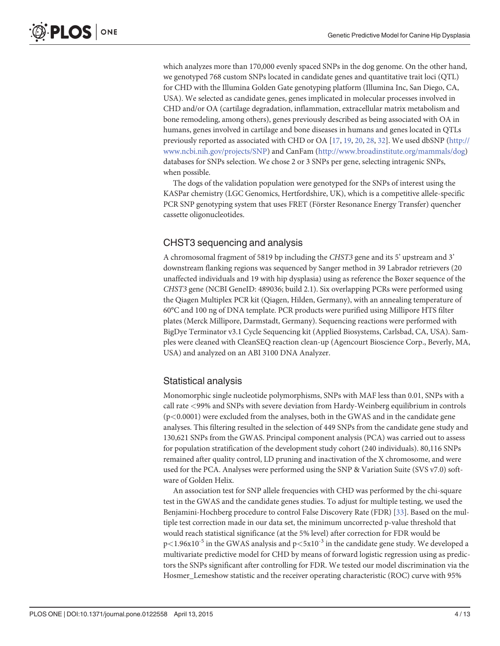<span id="page-3-0"></span>which analyzes more than 170,000 evenly spaced SNPs in the dog genome. On the other hand, we genotyped 768 custom SNPs located in candidate genes and quantitative trait loci (QTL) for CHD with the Illumina Golden Gate genotyping platform (Illumina Inc, San Diego, CA, USA). We selected as candidate genes, genes implicated in molecular processes involved in CHD and/or OA (cartilage degradation, inflammation, extracellular matrix metabolism and bone remodeling, among others), genes previously described as being associated with OA in humans, genes involved in cartilage and bone diseases in humans and genes located in QTLs previously reported as associated with CHD or OA [[17](#page-10-0), [19](#page-10-0), [20](#page-10-0), [28](#page-11-0), [32](#page-11-0)]. We used dbSNP [\(http://](http://www.ncbi.nih.gov/projects/SNP) [www.ncbi.nih.gov/projects/SNP](http://www.ncbi.nih.gov/projects/SNP)) and CanFam ([http://www.broadinstitute.org/mammals/dog\)](http://www.broadinstitute.org/mammals/dog) databases for SNPs selection. We chose 2 or 3 SNPs per gene, selecting intragenic SNPs, when possible.

The dogs of the validation population were genotyped for the SNPs of interest using the KASPar chemistry (LGC Genomics, Hertfordshire, UK), which is a competitive allele-specific PCR SNP genotyping system that uses FRET (Förster Resonance Energy Transfer) quencher cassette oligonucleotides.

#### CHST3 sequencing and analysis

A chromosomal fragment of 5819 bp including the CHST3 gene and its 5' upstream and 3' downstream flanking regions was sequenced by Sanger method in 39 Labrador retrievers (20 unaffected individuals and 19 with hip dysplasia) using as reference the Boxer sequence of the CHST3 gene (NCBI GeneID: 489036; build 2.1). Six overlapping PCRs were performed using the Qiagen Multiplex PCR kit (Qiagen, Hilden, Germany), with an annealing temperature of 60°C and 100 ng of DNA template. PCR products were purified using Millipore HTS filter plates (Merck Millipore, Darmstadt, Germany). Sequencing reactions were performed with BigDye Terminator v3.1 Cycle Sequencing kit (Applied Biosystems, Carlsbad, CA, USA). Samples were cleaned with CleanSEQ reaction clean-up (Agencourt Bioscience Corp., Beverly, MA, USA) and analyzed on an ABI 3100 DNA Analyzer.

#### Statistical analysis

Monomorphic single nucleotide polymorphisms, SNPs with MAF less than 0.01, SNPs with a call rate <99% and SNPs with severe deviation from Hardy-Weinberg equilibrium in controls (p<0.0001) were excluded from the analyses, both in the GWAS and in the candidate gene analyses. This filtering resulted in the selection of 449 SNPs from the candidate gene study and 130,621 SNPs from the GWAS. Principal component analysis (PCA) was carried out to assess for population stratification of the development study cohort (240 individuals). 80,116 SNPs remained after quality control, LD pruning and inactivation of the X chromosome, and were used for the PCA. Analyses were performed using the SNP & Variation Suite (SVS v7.0) software of Golden Helix.

An association test for SNP allele frequencies with CHD was performed by the chi-square test in the GWAS and the candidate genes studies. To adjust for multiple testing, we used the Benjamini-Hochberg procedure to control False Discovery Rate (FDR) [\[33\]](#page-11-0). Based on the multiple test correction made in our data set, the minimum uncorrected p-value threshold that would reach statistical significance (at the 5% level) after correction for FDR would be  $p<1.96x10^{-5}$  in the GWAS analysis and  $p<5x10^{-3}$  in the candidate gene study. We developed a multivariate predictive model for CHD by means of forward logistic regression using as predictors the SNPs significant after controlling for FDR. We tested our model discrimination via the Hosmer\_Lemeshow statistic and the receiver operating characteristic (ROC) curve with 95%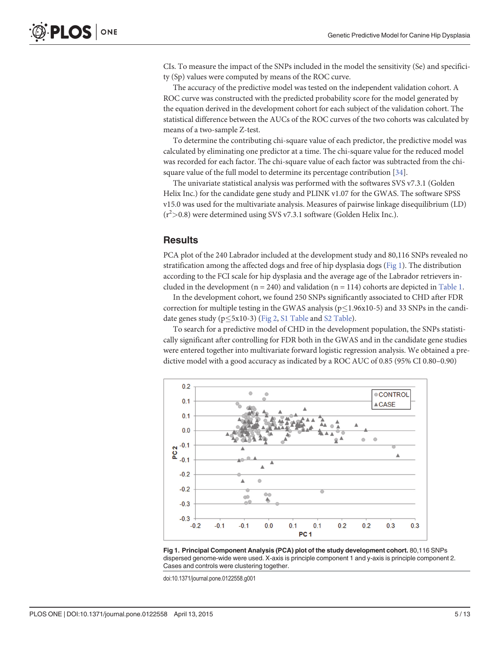<span id="page-4-0"></span>CIs. To measure the impact of the SNPs included in the model the sensitivity (Se) and specificity (Sp) values were computed by means of the ROC curve.

The accuracy of the predictive model was tested on the independent validation cohort. A ROC curve was constructed with the predicted probability score for the model generated by the equation derived in the development cohort for each subject of the validation cohort. The statistical difference between the AUCs of the ROC curves of the two cohorts was calculated by means of a two-sample Z-test.

To determine the contributing chi-square value of each predictor, the predictive model was calculated by eliminating one predictor at a time. The chi-square value for the reduced model was recorded for each factor. The chi-square value of each factor was subtracted from the chisquare value of the full model to determine its percentage contribution [\[34\]](#page-11-0).

The univariate statistical analysis was performed with the softwares SVS v7.3.1 (Golden Helix Inc.) for the candidate gene study and PLINK v1.07 for the GWAS. The software SPSS v15.0 was used for the multivariate analysis. Measures of pairwise linkage disequilibrium (LD)  $(r^2 > 0.8)$  were determined using SVS v7.3.1 software (Golden Helix Inc.).

#### **Results**

PCA plot of the 240 Labrador included at the development study and 80,116 SNPs revealed no stratification among the affected dogs and free of hip dysplasia dogs (Fig 1). The distribution according to the FCI scale for hip dysplasia and the average age of the Labrador retrievers included in the development ( $n = 240$ ) and validation ( $n = 114$ ) cohorts are depicted in [Table 1](#page-5-0).

In the development cohort, we found 250 SNPs significantly associated to CHD after FDR correction for multiple testing in the GWAS analysis ( $p\leq 1.96x10-5$ ) and 33 SNPs in the candidate genes study ( $p \le 5x10-3$ ) ([Fig 2](#page-5-0), [S1 Table](#page-9-0) and [S2 Table\)](#page-9-0).

To search for a predictive model of CHD in the development population, the SNPs statistically significant after controlling for FDR both in the GWAS and in the candidate gene studies were entered together into multivariate forward logistic regression analysis. We obtained a predictive model with a good accuracy as indicated by a ROC AUC of 0.85 (95% CI 0.80–0.90)





doi:10.1371/journal.pone.0122558.g001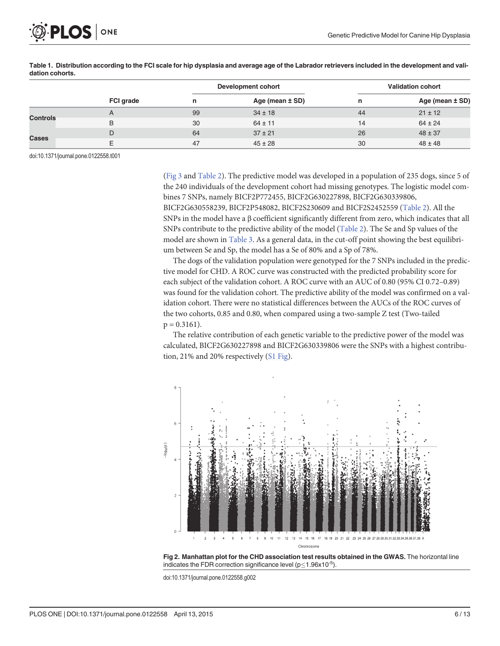<span id="page-5-0"></span>

| dation cohorts. |                        |                          |
|-----------------|------------------------|--------------------------|
|                 | Development cohort     | <b>Validation cohort</b> |
| ັ               | : SD'<br>Ade<br>umean: | Auc<br>,,,,,,,,,         |

A  $99$   $34 \pm 18$   $44$   $21 \pm 12$ B 30 64 ± 11  $\frac{64 \pm 11}{24}$  54 ± 24

D 64  $37 \pm 21$  26  $48 \pm 37$ E 47 47  $45 \pm 28$  30  $48 \pm 48$ 

| uauvu culiulis. |                    |                 |                   |                 |
|-----------------|--------------------|-----------------|-------------------|-----------------|
|                 | Development cohort |                 | Validation cohort |                 |
| FCI grade       |                    | Age (mean ± SD) |                   | Age (mean ± SD) |

[Table 1.](#page-4-0) Distribution according to the FCI scale for hip dysplasia and average age of the Labrador retrievers included in the development and vali-

doi:10.1371/journal.pone.0122558.t001

**Controls** 

**Cases** 

[\(Fig 3](#page-6-0) and [Table 2](#page-6-0)). The predictive model was developed in a population of 235 dogs, since 5 of the 240 individuals of the development cohort had missing genotypes. The logistic model combines 7 SNPs, namely BICF2P772455, BICF2G630227898, BICF2G630339806,

BICF2G630558239, BICF2P548082, BICF2S230609 and BICF2S2452559 [\(Table 2](#page-6-0)). All the SNPs in the model have a β coefficient significantly different from zero, which indicates that all SNPs contribute to the predictive ability of the model [\(Table 2](#page-6-0)). The Se and Sp values of the model are shown in [Table 3](#page-7-0). As a general data, in the cut-off point showing the best equilibrium between Se and Sp, the model has a Se of 80% and a Sp of 78%.

The dogs of the validation population were genotyped for the 7 SNPs included in the predictive model for CHD. A ROC curve was constructed with the predicted probability score for each subject of the validation cohort. A ROC curve with an AUC of 0.80 (95% CI 0.72–0.89) was found for the validation cohort. The predictive ability of the model was confirmed on a validation cohort. There were no statistical differences between the AUCs of the ROC curves of the two cohorts, 0.85 and 0.80, when compared using a two-sample Z test (Two-tailed  $p = 0.3161$ ).

The relative contribution of each genetic variable to the predictive power of the model was calculated, BICF2G630227898 and BICF2G630339806 were the SNPs with a highest contribution, 21% and 20% respectively  $(S1 \text{ Fig}).$ 





doi:10.1371/journal.pone.0122558.g002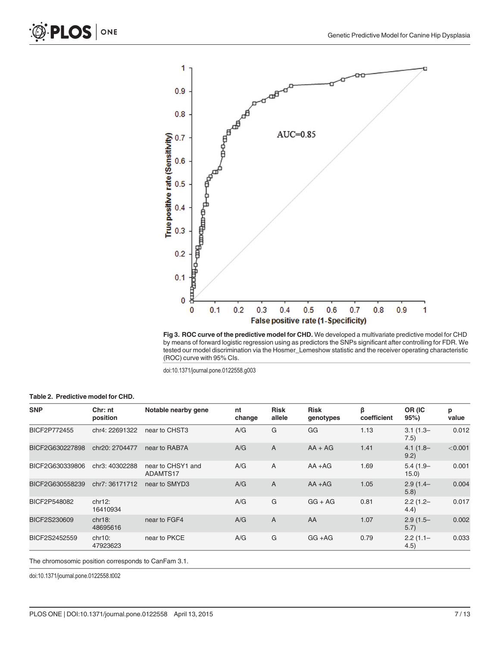<span id="page-6-0"></span>



[Fig 3. R](#page-4-0)OC curve of the predictive model for CHD. We developed a multivariate predictive model for CHD by means of forward logistic regression using as predictors the SNPs significant after controlling for FDR. We tested our model discrimination via the Hosmer\_Lemeshow statistic and the receiver operating characteristic (ROC) curve with 95% CIs.

doi:10.1371/journal.pone.0122558.g003

#### [Table 2.](#page-5-0) Predictive model for CHD.

| <b>SNP</b>      | Chr: nt<br>position | Notable nearby gene           | nt<br>change | <b>Risk</b><br>allele | <b>Risk</b><br>genotypes | β<br>coefficient | OR (IC<br>$95\%)$    | р<br>value |
|-----------------|---------------------|-------------------------------|--------------|-----------------------|--------------------------|------------------|----------------------|------------|
| BICF2P772455    | chr4: 22691322      | near to CHST3                 | A/G          | G                     | GG                       | 1.13             | $3.1(1.3 -$<br>7.5)  | 0.012      |
| BICF2G630227898 | chr20: 2704477      | near to RAB7A                 | A/G          | $\overline{A}$        | $AA + AG$                | 1.41             | $4.1(1.8 -$<br>9.2)  | < 0.001    |
| BICF2G630339806 | chr3: 40302288      | near to CHSY1 and<br>ADAMTS17 | A/G          | $\overline{A}$        | $AA + AG$                | 1.69             | $5.4(1.9-$<br>15.0)  | 0.001      |
| BICF2G630558239 | chr7: 36171712      | near to SMYD3                 | A/G          | $\overline{A}$        | $AA + AG$                | 1.05             | $2.9(1.4 -$<br>5.8)  | 0.004      |
| BICF2P548082    | chr12:<br>16410934  |                               | A/G          | G                     | $GG + AG$                | 0.81             | $2.2(1.2 -$<br>(4.4) | 0.017      |
| BICF2S230609    | chr18:<br>48695616  | near to FGF4                  | A/G          | $\overline{A}$        | AA                       | 1.07             | $2.9(1.5 -$<br>5.7)  | 0.002      |
| BICF2S2452559   | chr10:<br>47923623  | near to PKCE                  | A/G          | G                     | $GG + AG$                | 0.79             | $2.2(1.1 -$<br>(4.5) | 0.033      |

The chromosomic position corresponds to CanFam 3.1.

doi:10.1371/journal.pone.0122558.t002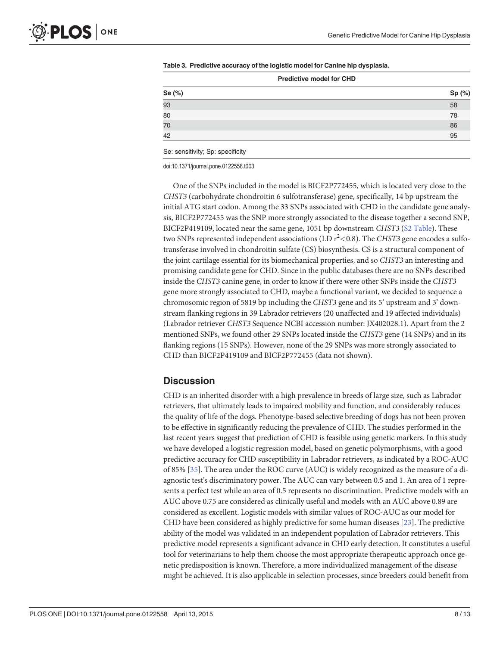| Se (%) | Sp(%) |
|--------|-------|
| 93     | 58    |
| 80     | 78    |
| 70     | 86    |
| 42     | 95    |

<span id="page-7-0"></span>

| Table 3. Predictive accuracy of the logistic model for Canine hip dysplasia. |  |  |
|------------------------------------------------------------------------------|--|--|
|                                                                              |  |  |

doi:10.1371/journal.pone.0122558.t003

One of the SNPs included in the model is BICF2P772455, which is located very close to the CHST3 (carbohydrate chondroitin 6 sulfotransferase) gene, specifically, 14 bp upstream the initial ATG start codon. Among the 33 SNPs associated with CHD in the candidate gene analysis, BICF2P772455 was the SNP more strongly associated to the disease together a second SNP, BICF2P419109, located near the same gene, 1051 bp downstream CHST3 ([S2 Table\)](#page-9-0). These two SNPs represented independent associations (LD  $r^2{<}0.8$ ). The CHST3 gene encodes a sulfotransferase involved in chondroitin sulfate (CS) biosynthesis. CS is a structural component of the joint cartilage essential for its biomechanical properties, and so CHST3 an interesting and promising candidate gene for CHD. Since in the public databases there are no SNPs described inside the CHST3 canine gene, in order to know if there were other SNPs inside the CHST3 gene more strongly associated to CHD, maybe a functional variant, we decided to sequence a chromosomic region of 5819 bp including the CHST3 gene and its 5' upstream and 3' downstream flanking regions in 39 Labrador retrievers (20 unaffected and 19 affected individuals) (Labrador retriever CHST3 Sequence NCBI accession number: JX402028.1). Apart from the 2 mentioned SNPs, we found other 29 SNPs located inside the CHST3 gene (14 SNPs) and in its flanking regions (15 SNPs). However, none of the 29 SNPs was more strongly associated to CHD than BICF2P419109 and BICF2P772455 (data not shown).

#### **Discussion**

CHD is an inherited disorder with a high prevalence in breeds of large size, such as Labrador retrievers, that ultimately leads to impaired mobility and function, and considerably reduces the quality of life of the dogs. Phenotype-based selective breeding of dogs has not been proven to be effective in significantly reducing the prevalence of CHD. The studies performed in the last recent years suggest that prediction of CHD is feasible using genetic markers. In this study we have developed a logistic regression model, based on genetic polymorphisms, with a good predictive accuracy for CHD susceptibility in Labrador retrievers, as indicated by a ROC-AUC of 85% [[35](#page-11-0)]. The area under the ROC curve (AUC) is widely recognized as the measure of a diagnostic test's discriminatory power. The AUC can vary between 0.5 and 1. An area of 1 represents a perfect test while an area of 0.5 represents no discrimination. Predictive models with an AUC above 0.75 are considered as clinically useful and models with an AUC above 0.89 are considered as excellent. Logistic models with similar values of ROC-AUC as our model for CHD have been considered as highly predictive for some human diseases [\[23](#page-11-0)]. The predictive ability of the model was validated in an independent population of Labrador retrievers. This predictive model represents a significant advance in CHD early detection. It constitutes a useful tool for veterinarians to help them choose the most appropriate therapeutic approach once genetic predisposition is known. Therefore, a more individualized management of the disease might be achieved. It is also applicable in selection processes, since breeders could benefit from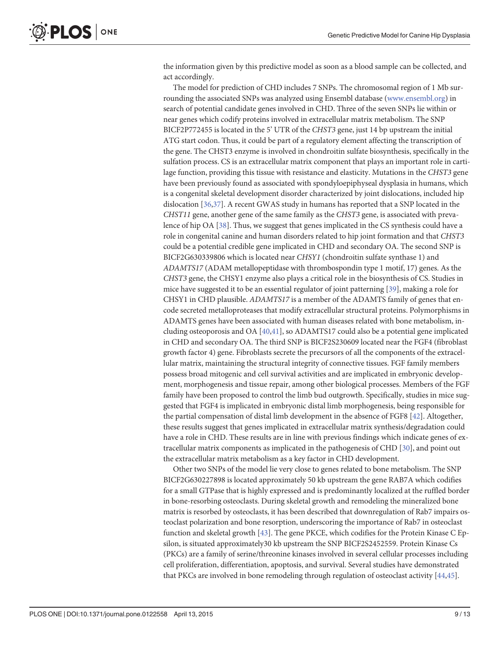<span id="page-8-0"></span>the information given by this predictive model as soon as a blood sample can be collected, and act accordingly.

The model for prediction of CHD includes 7 SNPs. The chromosomal region of 1 Mb surrounding the associated SNPs was analyzed using Ensembl database [\(www.ensembl.org](http://www.ensembl.org/)) in search of potential candidate genes involved in CHD. Three of the seven SNPs lie within or near genes which codify proteins involved in extracellular matrix metabolism. The SNP BICF2P772455 is located in the 5' UTR of the CHST3 gene, just 14 bp upstream the initial ATG start codon. Thus, it could be part of a regulatory element affecting the transcription of the gene. The CHST3 enzyme is involved in chondroitin sulfate biosynthesis, specifically in the sulfation process. CS is an extracellular matrix component that plays an important role in cartilage function, providing this tissue with resistance and elasticity. Mutations in the CHST3 gene have been previously found as associated with spondyloepiphyseal dysplasia in humans, which is a congenital skeletal development disorder characterized by joint dislocations, included hip dislocation [\[36,37\]](#page-11-0). A recent GWAS study in humans has reported that a SNP located in the CHST11 gene, another gene of the same family as the CHST3 gene, is associated with prevalence of hip OA [\[38\]](#page-11-0). Thus, we suggest that genes implicated in the CS synthesis could have a role in congenital canine and human disorders related to hip joint formation and that CHST3 could be a potential credible gene implicated in CHD and secondary OA. The second SNP is BICF2G630339806 which is located near CHSY1 (chondroitin sulfate synthase 1) and ADAMTS17 (ADAM metallopeptidase with thrombospondin type 1 motif, 17) genes. As the CHST3 gene, the CHSY1 enzyme also plays a critical role in the biosynthesis of CS. Studies in mice have suggested it to be an essential regulator of joint patterning [\[39\]](#page-11-0), making a role for CHSY1 in CHD plausible. ADAMTS17 is a member of the ADAMTS family of genes that encode secreted metalloproteases that modify extracellular structural proteins. Polymorphisms in ADAMTS genes have been associated with human diseases related with bone metabolism, including osteoporosis and OA [[40](#page-11-0),[41](#page-11-0)], so ADAMTS17 could also be a potential gene implicated in CHD and secondary OA. The third SNP is BICF2S230609 located near the FGF4 (fibroblast growth factor 4) gene. Fibroblasts secrete the precursors of all the components of the extracellular matrix, maintaining the structural integrity of connective tissues. FGF family members possess broad mitogenic and cell survival activities and are implicated in embryonic development, morphogenesis and tissue repair, among other biological processes. Members of the FGF family have been proposed to control the limb bud outgrowth. Specifically, studies in mice suggested that FGF4 is implicated in embryonic distal limb morphogenesis, being responsible for the partial compensation of distal limb development in the absence of FGF8 [\[42\]](#page-12-0). Altogether, these results suggest that genes implicated in extracellular matrix synthesis/degradation could have a role in CHD. These results are in line with previous findings which indicate genes of extracellular matrix components as implicated in the pathogenesis of CHD [\[30](#page-11-0)], and point out the extracellular matrix metabolism as a key factor in CHD development.

Other two SNPs of the model lie very close to genes related to bone metabolism. The SNP BICF2G630227898 is located approximately 50 kb upstream the gene RAB7A which codifies for a small GTPase that is highly expressed and is predominantly localized at the ruffled border in bone-resorbing osteoclasts. During skeletal growth and remodeling the mineralized bone matrix is resorbed by osteoclasts, it has been described that downregulation of Rab7 impairs osteoclast polarization and bone resorption, underscoring the importance of Rab7 in osteoclast function and skeletal growth [[43](#page-12-0)]. The gene PKCE, which codifies for the Protein Kinase C Epsilon, is situated approximately30 kb upstream the SNP BICF2S2452559. Protein Kinase Cs (PKCs) are a family of serine/threonine kinases involved in several cellular processes including cell proliferation, differentiation, apoptosis, and survival. Several studies have demonstrated that PKCs are involved in bone remodeling through regulation of osteoclast activity [[44,45](#page-12-0)].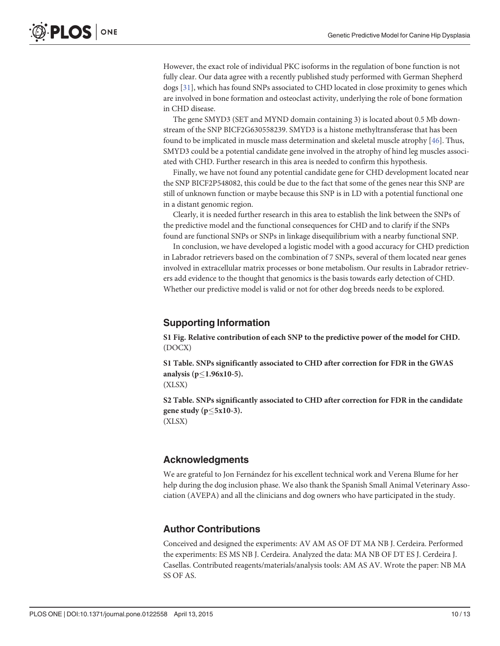<span id="page-9-0"></span>However, the exact role of individual PKC isoforms in the regulation of bone function is not fully clear. Our data agree with a recently published study performed with German Shepherd dogs [\[31\]](#page-11-0), which has found SNPs associated to CHD located in close proximity to genes which are involved in bone formation and osteoclast activity, underlying the role of bone formation in CHD disease.

The gene SMYD3 (SET and MYND domain containing 3) is located about 0.5 Mb downstream of the SNP BICF2G630558239. SMYD3 is a histone methyltransferase that has been found to be implicated in muscle mass determination and skeletal muscle atrophy [[46](#page-12-0)]. Thus, SMYD3 could be a potential candidate gene involved in the atrophy of hind leg muscles associated with CHD. Further research in this area is needed to confirm this hypothesis.

Finally, we have not found any potential candidate gene for CHD development located near the SNP BICF2P548082, this could be due to the fact that some of the genes near this SNP are still of unknown function or maybe because this SNP is in LD with a potential functional one in a distant genomic region.

Clearly, it is needed further research in this area to establish the link between the SNPs of the predictive model and the functional consequences for CHD and to clarify if the SNPs found are functional SNPs or SNPs in linkage disequilibrium with a nearby functional SNP.

In conclusion, we have developed a logistic model with a good accuracy for CHD prediction in Labrador retrievers based on the combination of 7 SNPs, several of them located near genes involved in extracellular matrix processes or bone metabolism. Our results in Labrador retrievers add evidence to the thought that genomics is the basis towards early detection of CHD. Whether our predictive model is valid or not for other dog breeds needs to be explored.

### Supporting Information

[S1 Fig.](http://www.plosone.org/article/fetchSingleRepresentation.action?uri=info:doi/10.1371/journal.pone.0122558.s001) Relative contribution of each SNP to the predictive power of the model for CHD. (DOCX)

[S1 Table](http://www.plosone.org/article/fetchSingleRepresentation.action?uri=info:doi/10.1371/journal.pone.0122558.s002). SNPs significantly associated to CHD after correction for FDR in the GWAS analysis ( $p \leq 1.96x10-5$ ).

(XLSX)

[S2 Table](http://www.plosone.org/article/fetchSingleRepresentation.action?uri=info:doi/10.1371/journal.pone.0122558.s003). SNPs significantly associated to CHD after correction for FDR in the candidate gene study ( $p \leq 5x10-3$ ). (XLSX)

#### Acknowledgments

We are grateful to Jon Fernández for his excellent technical work and Verena Blume for her help during the dog inclusion phase. We also thank the Spanish Small Animal Veterinary Association (AVEPA) and all the clinicians and dog owners who have participated in the study.

#### Author Contributions

Conceived and designed the experiments: AV AM AS OF DT MA NB J. Cerdeira. Performed the experiments: ES MS NB J. Cerdeira. Analyzed the data: MA NB OF DT ES J. Cerdeira J. Casellas. Contributed reagents/materials/analysis tools: AM AS AV. Wrote the paper: NB MA SS OF AS.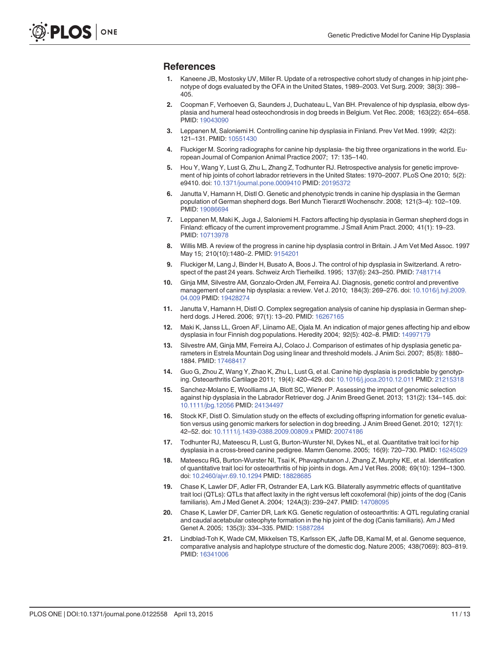#### <span id="page-10-0"></span>References

- [1.](#page-1-0) Kaneene JB, Mostosky UV, Miller R. Update of a retrospective cohort study of changes in hip joint phenotype of dogs evaluated by the OFA in the United States, 1989–2003. Vet Surg. 2009; 38(3): 398– 405.
- 2. Coopman F, Verhoeven G, Saunders J, Duchateau L, Van BH. Prevalence of hip dysplasia, elbow dysplasia and humeral head osteochondrosis in dog breeds in Belgium. Vet Rec. 2008; 163(22): 654–658. PMID: [19043090](http://www.ncbi.nlm.nih.gov/pubmed/19043090)
- [3.](#page-1-0) Leppanen M, Saloniemi H. Controlling canine hip dysplasia in Finland. Prev Vet Med. 1999; 42(2): 121–131. PMID: [10551430](http://www.ncbi.nlm.nih.gov/pubmed/10551430)
- [4.](#page-1-0) Fluckiger M. Scoring radiographs for canine hip dysplasia- the big three organizations in the world. European Journal of Companion Animal Practice 2007; 17: 135–140.
- [5.](#page-1-0) Hou Y, Wang Y, Lust G, Zhu L, Zhang Z, Todhunter RJ. Retrospective analysis for genetic improvement of hip joints of cohort labrador retrievers in the United States: 1970–2007. PLoS One 2010; 5(2): e9410. doi: [10.1371/journal.pone.0009410](http://dx.doi.org/10.1371/journal.pone.0009410) PMID: [20195372](http://www.ncbi.nlm.nih.gov/pubmed/20195372)
- [6.](#page-1-0) Janutta V, Hamann H, Distl O. Genetic and phenotypic trends in canine hip dysplasia in the German population of German shepherd dogs. Berl Munch Tierarztl Wochenschr. 2008; 121(3–4): 102–109. PMID: [19086694](http://www.ncbi.nlm.nih.gov/pubmed/19086694)
- [7.](#page-1-0) Leppanen M, Maki K, Juga J, Saloniemi H. Factors affecting hip dysplasia in German shepherd dogs in Finland: efficacy of the current improvement programme. J Small Anim Pract. 2000; 41(1): 19–23. PMID: [10713978](http://www.ncbi.nlm.nih.gov/pubmed/10713978)
- 8. Willis MB. A review of the progress in canine hip dysplasia control in Britain. J Am Vet Med Assoc. 1997 May 15; 210(10):1480–2. PMID: [9154201](http://www.ncbi.nlm.nih.gov/pubmed/9154201)
- [9.](#page-1-0) Fluckiger M, Lang J, Binder H, Busato A, Boos J. The control of hip dysplasia in Switzerland. A retrospect of the past 24 years. Schweiz Arch Tierheilkd. 1995; 137(6): 243–250. PMID: [7481714](http://www.ncbi.nlm.nih.gov/pubmed/7481714)
- [10.](#page-1-0) Ginja MM, Silvestre AM, Gonzalo-Orden JM, Ferreira AJ. Diagnosis, genetic control and preventive management of canine hip dysplasia: a review. Vet J. 2010; 184(3): 269–276. doi: [10.1016/j.tvjl.2009.](http://dx.doi.org/10.1016/j.tvjl.2009.04.009) [04.009](http://dx.doi.org/10.1016/j.tvjl.2009.04.009) PMID: [19428274](http://www.ncbi.nlm.nih.gov/pubmed/19428274)
- 11. Janutta V, Hamann H, Distl O. Complex segregation analysis of canine hip dysplasia in German shepherd dogs. J Hered. 2006; 97(1): 13–20. PMID: [16267165](http://www.ncbi.nlm.nih.gov/pubmed/16267165)
- 12. Maki K, Janss LL, Groen AF, Liinamo AE, Ojala M. An indication of major genes affecting hip and elbow dysplasia in four Finnish dog populations. Heredity 2004; 92(5): 402–8. PMID: [14997179](http://www.ncbi.nlm.nih.gov/pubmed/14997179)
- [13.](#page-1-0) Silvestre AM, Ginja MM, Ferreira AJ, Colaco J. Comparison of estimates of hip dysplasia genetic parameters in Estrela Mountain Dog using linear and threshold models. J Anim Sci. 2007; 85(8): 1880– 1884. PMID: [17468417](http://www.ncbi.nlm.nih.gov/pubmed/17468417)
- [14.](#page-1-0) Guo G, Zhou Z, Wang Y, Zhao K, Zhu L, Lust G, et al. Canine hip dysplasia is predictable by genotyping. Osteoarthritis Cartilage 2011; 19(4): 420–429. doi: [10.1016/j.joca.2010.12.011](http://dx.doi.org/10.1016/j.joca.2010.12.011) PMID: [21215318](http://www.ncbi.nlm.nih.gov/pubmed/21215318)
- 15. Sanchez-Molano E, Woolliams JA, Blott SC, Wiener P. Assessing the impact of genomic selection against hip dysplasia in the Labrador Retriever dog. J Anim Breed Genet. 2013; 131(2): 134–145. doi: [10.1111/jbg.12056](http://dx.doi.org/10.1111/jbg.12056) PMID: [24134497](http://www.ncbi.nlm.nih.gov/pubmed/24134497)
- [16.](#page-1-0) Stock KF, Distl O. Simulation study on the effects of excluding offspring information for genetic evaluation versus using genomic markers for selection in dog breeding. J Anim Breed Genet. 2010; 127(1): 42–52. doi: [10.1111/j.1439-0388.2009.00809.x](http://dx.doi.org/10.1111/j.1439-0388.2009.00809.x) PMID: [20074186](http://www.ncbi.nlm.nih.gov/pubmed/20074186)
- [17.](#page-1-0) Todhunter RJ, Mateescu R, Lust G, Burton-Wurster NI, Dykes NL, et al. Quantitative trait loci for hip dysplasia in a cross-breed canine pedigree. Mamm Genome. 2005; 16(9): 720–730. PMID: [16245029](http://www.ncbi.nlm.nih.gov/pubmed/16245029)
- [18.](#page-1-0) Mateescu RG, Burton-Wurster NI, Tsai K, Phavaphutanon J, Zhang Z, Murphy KE, et al. Identification of quantitative trait loci for osteoarthritis of hip joints in dogs. Am J Vet Res. 2008; 69(10): 1294–1300. doi: [10.2460/ajvr.69.10.1294](http://dx.doi.org/10.2460/ajvr.69.10.1294) PMID: [18828685](http://www.ncbi.nlm.nih.gov/pubmed/18828685)
- [19.](#page-1-0) Chase K, Lawler DF, Adler FR, Ostrander EA, Lark KG. Bilaterally asymmetric effects of quantitative trait loci (QTLs): QTLs that affect laxity in the right versus left coxofemoral (hip) joints of the dog (Canis familiaris). Am J Med Genet A. 2004; 124A(3): 239-247. PMID: [14708095](http://www.ncbi.nlm.nih.gov/pubmed/14708095)
- [20.](#page-1-0) Chase K, Lawler DF, Carrier DR, Lark KG. Genetic regulation of osteoarthritis: A QTL regulating cranial and caudal acetabular osteophyte formation in the hip joint of the dog (Canis familiaris). Am J Med Genet A. 2005; 135(3): 334–335. PMID: [15887284](http://www.ncbi.nlm.nih.gov/pubmed/15887284)
- [21.](#page-1-0) Lindblad-Toh K, Wade CM, Mikkelsen TS, Karlsson EK, Jaffe DB, Kamal M, et al. Genome sequence, comparative analysis and haplotype structure of the domestic dog. Nature 2005; 438(7069): 803–819. PMID: [16341006](http://www.ncbi.nlm.nih.gov/pubmed/16341006)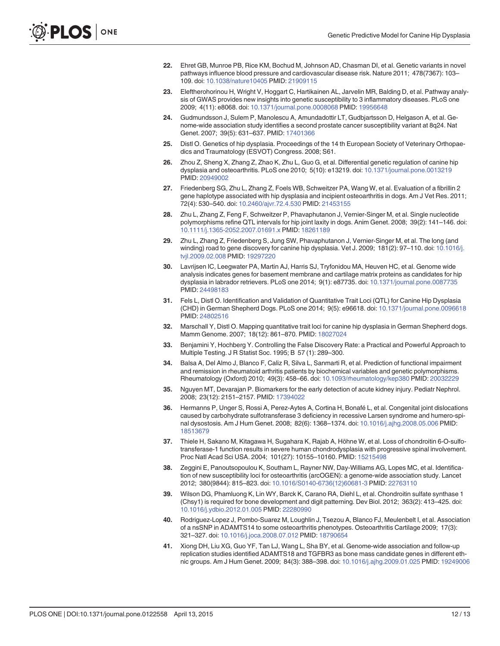- <span id="page-11-0"></span>[22.](#page-1-0) Ehret GB, Munroe PB, Rice KM, Bochud M, Johnson AD, Chasman DI, et al. Genetic variants in novel pathways influence blood pressure and cardiovascular disease risk. Nature 2011; 478(7367): 103– 109. doi: [10.1038/nature10405](http://dx.doi.org/10.1038/nature10405) PMID: [21909115](http://www.ncbi.nlm.nih.gov/pubmed/21909115)
- [23.](#page-7-0) Eleftherohorinou H, Wright V, Hoggart C, Hartikainen AL, Jarvelin MR, Balding D, et al. Pathway analysis of GWAS provides new insights into genetic susceptibility to 3 inflammatory diseases. PLoS one 2009; 4(11): e8068. doi: [10.1371/journal.pone.0008068](http://dx.doi.org/10.1371/journal.pone.0008068) PMID: [19956648](http://www.ncbi.nlm.nih.gov/pubmed/19956648)
- [24.](#page-1-0) Gudmundsson J, Sulem P, Manolescu A, Amundadottir LT, Gudbjartsson D, Helgason A, et al. Genome-wide association study identifies a second prostate cancer susceptibility variant at 8q24. Nat Genet. 2007; 39(5): 631–637. PMID: [17401366](http://www.ncbi.nlm.nih.gov/pubmed/17401366)
- [25.](#page-1-0) Distl O. Genetics of hip dysplasia. Proceedings of the 14 th European Society of Veterinary Orthopaedics and Traumatology (ESVOT) Congress. 2008; S61.
- [26.](#page-1-0) Zhou Z, Sheng X, Zhang Z, Zhao K, Zhu L, Guo G, et al. Differential genetic regulation of canine hip dysplasia and osteoarthritis. PLoS one 2010; 5(10): e13219. doi: [10.1371/journal.pone.0013219](http://dx.doi.org/10.1371/journal.pone.0013219) PMID: [20949002](http://www.ncbi.nlm.nih.gov/pubmed/20949002)
- [27.](#page-1-0) Friedenberg SG, Zhu L, Zhang Z, Foels WB, Schweitzer PA, Wang W, et al. Evaluation of a fibrillin 2 gene haplotype associated with hip dysplasia and incipient osteoarthritis in dogs. Am J Vet Res. 2011; 72(4): 530–540. doi: [10.2460/ajvr.72.4.530](http://dx.doi.org/10.2460/ajvr.72.4.530) PMID: [21453155](http://www.ncbi.nlm.nih.gov/pubmed/21453155)
- [28.](#page-3-0) Zhu L, Zhang Z, Feng F, Schweitzer P, Phavaphutanon J, Vernier-Singer M, et al. Single nucleotide polymorphisms refine QTL intervals for hip joint laxity in dogs. Anim Genet. 2008; 39(2): 141–146. doi: [10.1111/j.1365-2052.2007.01691.x](http://dx.doi.org/10.1111/j.1365-2052.2007.01691.x) PMID: [18261189](http://www.ncbi.nlm.nih.gov/pubmed/18261189)
- [29.](#page-1-0) Zhu L, Zhang Z, Friedenberg S, Jung SW, Phavaphutanon J, Vernier-Singer M, et al. The long (and winding) road to gene discovery for canine hip dysplasia. Vet J. 2009; 181(2): 97-110. doi: [10.1016/j.](http://dx.doi.org/10.1016/j.tvjl.2009.02.008) [tvjl.2009.02.008](http://dx.doi.org/10.1016/j.tvjl.2009.02.008) PMID: [19297220](http://www.ncbi.nlm.nih.gov/pubmed/19297220)
- [30.](#page-1-0) Lavrijsen IC, Leegwater PA, Martin AJ, Harris SJ, Tryfonidou MA, Heuven HC, et al. Genome wide analysis indicates genes for basement membrane and cartilage matrix proteins as candidates for hip dysplasia in labrador retrievers. PLoS one 2014; 9(1): e87735. doi: [10.1371/journal.pone.0087735](http://dx.doi.org/10.1371/journal.pone.0087735) PMID: [24498183](http://www.ncbi.nlm.nih.gov/pubmed/24498183)
- [31.](#page-1-0) Fels L, Distl O. Identification and Validation of Quantitative Trait Loci (QTL) for Canine Hip Dysplasia (CHD) in German Shepherd Dogs. PLoS one 2014; 9(5): e96618. doi: [10.1371/journal.pone.0096618](http://dx.doi.org/10.1371/journal.pone.0096618) PMID: [24802516](http://www.ncbi.nlm.nih.gov/pubmed/24802516)
- [32.](#page-3-0) Marschall Y, Distl O. Mapping quantitative trait loci for canine hip dysplasia in German Shepherd dogs. Mamm Genome. 2007; 18(12): 861–870. PMID: [18027024](http://www.ncbi.nlm.nih.gov/pubmed/18027024)
- [33.](#page-3-0) Benjamini Y, Hochberg Y. Controlling the False Discovery Rate: a Practical and Powerful Approach to Multiple Testing. J R Statist Soc. 1995; B 57 (1): 289–300.
- [34.](#page-4-0) Balsa A, Del Almo J, Blanco F, Caliz R, Silva L, Sanmarti R, et al. Prediction of functional impairment and remission in rheumatoid arthritis patients by biochemical variables and genetic polymorphisms. Rheumatology (Oxford) 2010; 49(3): 458–66. doi: [10.1093/rheumatology/kep380](http://dx.doi.org/10.1093/rheumatology/kep380) PMID: [20032229](http://www.ncbi.nlm.nih.gov/pubmed/20032229)
- [35.](#page-7-0) Nguyen MT, Devarajan P. Biomarkers for the early detection of acute kidney injury. Pediatr Nephrol. 2008; 23(12): 2151–2157. PMID: [17394022](http://www.ncbi.nlm.nih.gov/pubmed/17394022)
- [36.](#page-8-0) Hermanns P, Unger S, Rossi A, Perez-Aytes A, Cortina H, Bonafé L, et al. Congenital joint dislocations caused by carbohydrate sulfotransferase 3 deficiency in recessive Larsen syndrome and humero-spinal dysostosis. Am J Hum Genet. 2008; 82(6): 1368–1374. doi: [10.1016/j.ajhg.2008.05.006](http://dx.doi.org/10.1016/j.ajhg.2008.05.006) PMID: [18513679](http://www.ncbi.nlm.nih.gov/pubmed/18513679)
- [37.](#page-8-0) Thiele H, Sakano M, Kitagawa H, Sugahara K, Rajab A, Höhne W, et al. Loss of chondroitin 6-O-sulfotransferase-1 function results in severe human chondrodysplasia with progressive spinal involvement. Proc Natl Acad Sci USA. 2004; 101(27): 10155–10160. PMID: [15215498](http://www.ncbi.nlm.nih.gov/pubmed/15215498)
- [38.](#page-8-0) Zeggini E, Panoutsopoulou K, Southam L, Rayner NW, Day-Williams AG, Lopes MC, et al. Identification of new susceptibility loci for osteoarthritis (arcOGEN): a genome-wide association study. Lancet 2012; 380(9844): 815–823. doi: [10.1016/S0140-6736\(12\)60681-3](http://dx.doi.org/10.1016/S0140-6736(12)60681-3) PMID: [22763110](http://www.ncbi.nlm.nih.gov/pubmed/22763110)
- [39.](#page-8-0) Wilson DG, Phamluong K, Lin WY, Barck K, Carano RA, Diehl L, et al. Chondroitin sulfate synthase 1 (Chsy1) is required for bone development and digit patterning. Dev Biol. 2012; 363(2): 413–425. doi: [10.1016/j.ydbio.2012.01.005](http://dx.doi.org/10.1016/j.ydbio.2012.01.005) PMID: [22280990](http://www.ncbi.nlm.nih.gov/pubmed/22280990)
- [40.](#page-8-0) Rodriguez-Lopez J, Pombo-Suarez M, Loughlin J, Tsezou A, Blanco FJ, Meulenbelt I, et al. Association of a nsSNP in ADAMTS14 to some osteoarthritis phenotypes. Osteoarthritis Cartilage 2009; 17(3): 321–327. doi: [10.1016/j.joca.2008.07.012](http://dx.doi.org/10.1016/j.joca.2008.07.012) PMID: [18790654](http://www.ncbi.nlm.nih.gov/pubmed/18790654)
- [41.](#page-8-0) Xiong DH, Liu XG, Guo YF, Tan LJ, Wang L, Sha BY, et al. Genome-wide association and follow-up replication studies identified ADAMTS18 and TGFBR3 as bone mass candidate genes in different ethnic groups. Am J Hum Genet. 2009; 84(3): 388–398. doi: [10.1016/j.ajhg.2009.01.025](http://dx.doi.org/10.1016/j.ajhg.2009.01.025) PMID: [19249006](http://www.ncbi.nlm.nih.gov/pubmed/19249006)